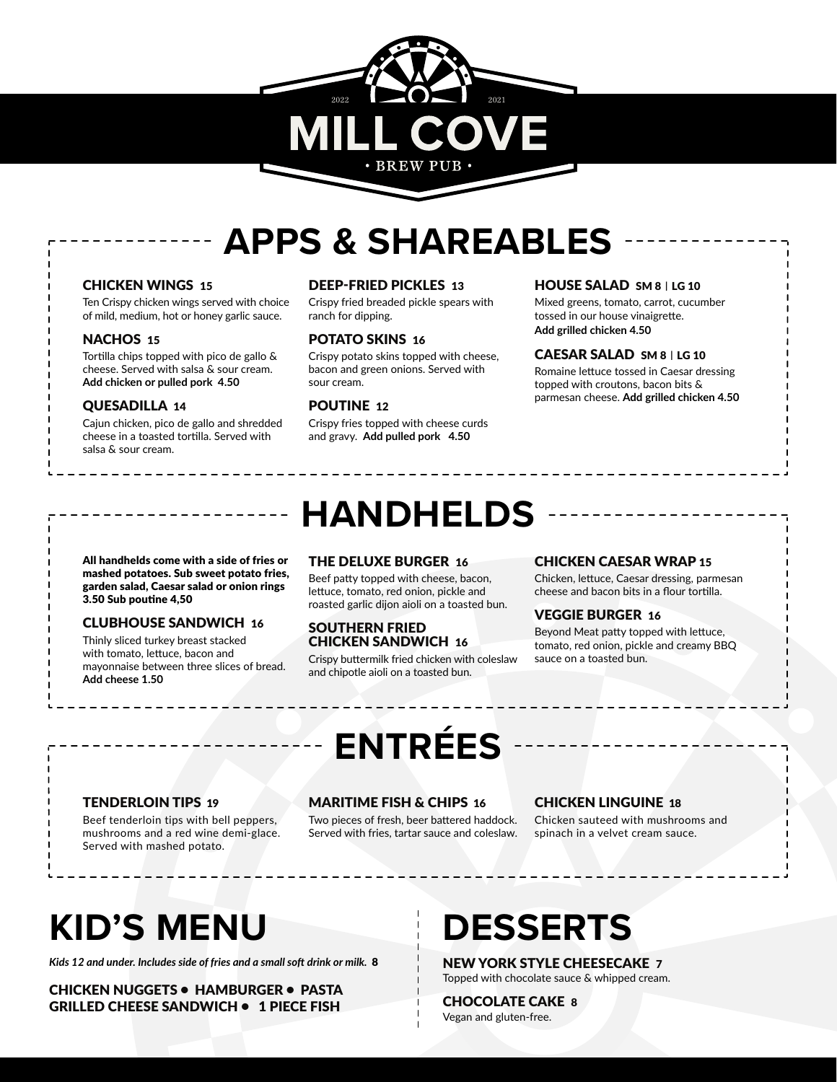# 2022 2021 **BREW PUB**

## **APPS & SHAREABLES**

### CHICKEN WINGS 15

Ten Crispy chicken wings served with choice of mild, medium, hot or honey garlic sauce.

#### NACHOS 15

Tortilla chips topped with pico de gallo & cheese. Served with salsa & sour cream. **Add chicken or pulled pork 4.50**

### QUESADILLA 14

Cajun chicken, pico de gallo and shredded cheese in a toasted tortilla. Served with salsa & sour cream.

### DEEP-FRIED PICKLES 13

Crispy fried breaded pickle spears with ranch for dipping.

### POTATO SKINS 16

Crispy potato skins topped with cheese, bacon and green onions. Served with sour cream.

### POUTINE 12

Crispy fries topped with cheese curds and gravy. **Add pulled pork 4.50**

### HOUSE SALAD SM 8 **|** LG 10

Mixed greens, tomato, carrot, cucumber tossed in our house vinaigrette. **Add grilled chicken 4.50**

### CAESAR SALAD SM 8 **|** LG 10

Romaine lettuce tossed in Caesar dressing topped with croutons, bacon bits & parmesan cheese. **Add grilled chicken 4.50**

All handhelds come with a side of fries or mashed potatoes. Sub sweet potato fries, garden salad, Caesar salad or onion rings 3.50 Sub poutine 4,50

### CLUBHOUSE SANDWICH 16

Thinly sliced turkey breast stacked with tomato, lettuce, bacon and mayonnaise between three slices of bread. **Add cheese 1.50**

## **HANDHELDS**

### THE DELUXE BURGER 16

Beef patty topped with cheese, bacon, lettuce, tomato, red onion, pickle and roasted garlic dijon aioli on a toasted bun.

#### SOUTHERN FRIED CHICKEN SANDWICH 16

Crispy buttermilk fried chicken with coleslaw and chipotle aioli on a toasted bun.

### CHICKEN CAESAR WRAP 15

Chicken, lettuce, Caesar dressing, parmesan cheese and bacon bits in a flour tortilla.

### VEGGIE BURGER 16

Beyond Meat patty topped with lettuce, tomato, red onion, pickle and creamy BBQ sauce on a toasted bun.

## **ENTRÉES**

### TENDERLOIN TIPS 19

Beef tenderloin tips with bell peppers, mushrooms and a red wine demi-glace. Served with mashed potato.

### MARITIME FISH & CHIPS 16

Two pieces of fresh, beer battered haddock. Served with fries, tartar sauce and coleslaw.

#### CHICKEN LINGUINE 18

Chicken sauteed with mushrooms and spinach in a velvet cream sauce.

## **KID'S MENU**

*Kids 12 and under. Includes side of fries and a small soft drink or milk.* 8

CHICKEN NUGGETS • HAMBURGER • PASTA GRILLED CHEESE SANDWICH • 1 PIECE FISH

## **DESSERTS**

NEW YORK STYLE CHEESECAKE 7 Topped with chocolate sauce & whipped cream.

CHOCOLATE CAKE 8 Vegan and gluten-free.